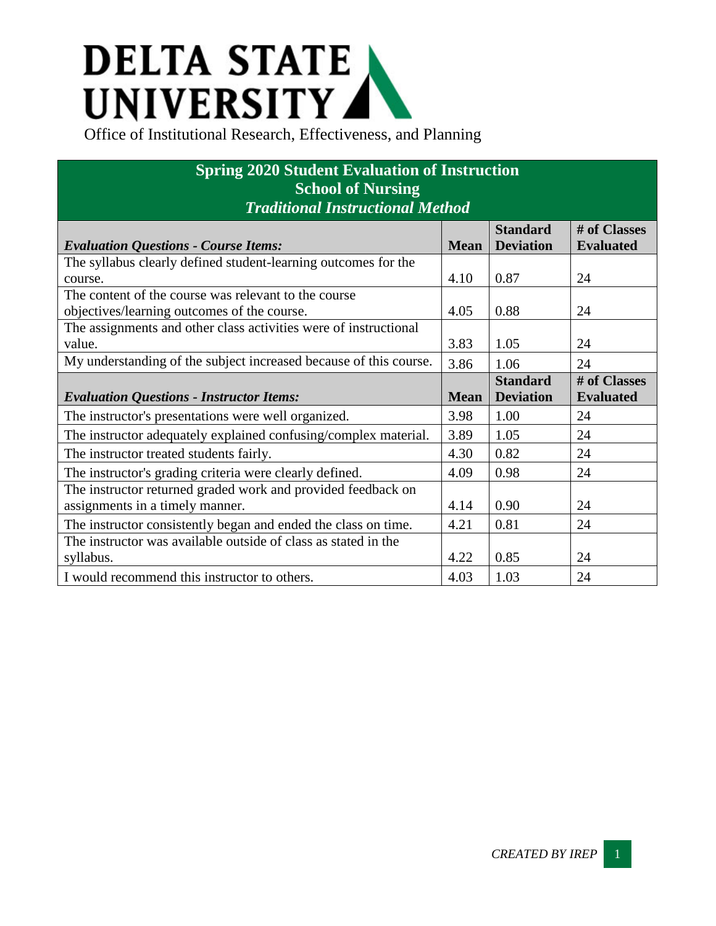## **DELTA STATE** UNIVERSITY

| <b>Spring 2020 Student Evaluation of Instruction</b><br><b>School of Nursing</b><br><b>Traditional Instructional Method</b> |             |                                     |                                  |  |  |
|-----------------------------------------------------------------------------------------------------------------------------|-------------|-------------------------------------|----------------------------------|--|--|
| <b>Evaluation Questions - Course Items:</b>                                                                                 | <b>Mean</b> | <b>Standard</b><br><b>Deviation</b> | # of Classes<br><b>Evaluated</b> |  |  |
| The syllabus clearly defined student-learning outcomes for the<br>course.                                                   | 4.10        | 0.87                                | 24                               |  |  |
| The content of the course was relevant to the course<br>objectives/learning outcomes of the course.                         | 4.05        | 0.88                                | 24                               |  |  |
| The assignments and other class activities were of instructional<br>value.                                                  | 3.83        | 1.05                                | 24                               |  |  |
| My understanding of the subject increased because of this course.                                                           | 3.86        | 1.06                                | 24                               |  |  |
| <b>Evaluation Questions - Instructor Items:</b>                                                                             | <b>Mean</b> | <b>Standard</b><br><b>Deviation</b> | # of Classes<br><b>Evaluated</b> |  |  |
| The instructor's presentations were well organized.                                                                         | 3.98        | 1.00                                | 24                               |  |  |
| The instructor adequately explained confusing/complex material.                                                             | 3.89        | 1.05                                | 24                               |  |  |
| The instructor treated students fairly.                                                                                     | 4.30        | 0.82                                | 24                               |  |  |
| The instructor's grading criteria were clearly defined.                                                                     | 4.09        | 0.98                                | 24                               |  |  |
| The instructor returned graded work and provided feedback on<br>assignments in a timely manner.                             | 4.14        | 0.90                                | 24                               |  |  |
|                                                                                                                             |             |                                     |                                  |  |  |
| The instructor consistently began and ended the class on time.                                                              | 4.21        | 0.81                                | 24                               |  |  |
| The instructor was available outside of class as stated in the<br>syllabus.                                                 | 4.22        | 0.85                                | 24                               |  |  |